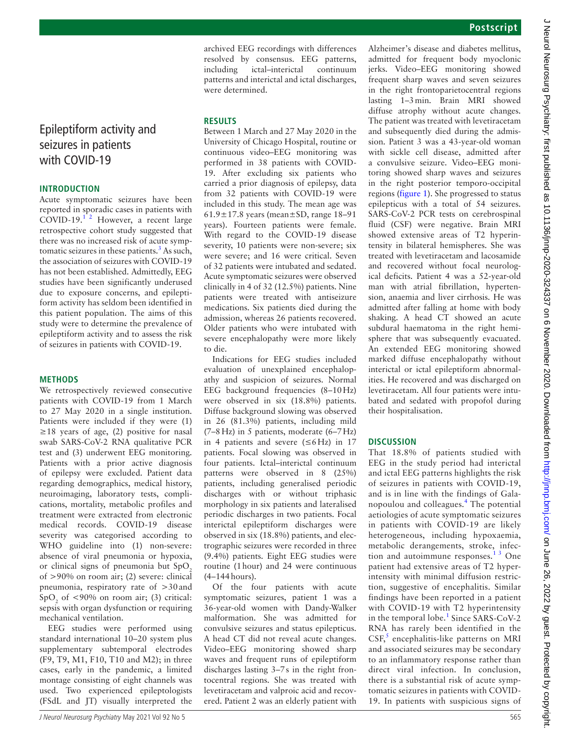# <span id="page-0-1"></span><span id="page-0-0"></span>Epileptiform activity and seizures in patients with COVID-19

## **INTRODUCTION**

Acute symptomatic seizures have been reported in sporadic cases in patients with COVID-19. $1^2$  However, a recent large retrospective cohort study suggested that there was no increased risk of acute symp-tomatic seizures in these patients.<sup>[3](#page--1-1)</sup> As such, the association of seizures with COVID-19 has not been established. Admittedly, EEG studies have been significantly underused due to exposure concerns, and epileptiform activity has seldom been identified in this patient population. The aims of this study were to determine the prevalence of epileptiform activity and to assess the risk of seizures in patients with COVID-19.

#### **METHODS**

We retrospectively reviewed consecutive patients with COVID-19 from 1 March to 27 May 2020 in a single institution. Patients were included if they were (1)  $\geq$ 18 years of age, (2) positive for nasal swab SARS-CoV-2 RNA qualitative PCR test and (3) underwent EEG monitoring. Patients with a prior active diagnosis of epilepsy were excluded. Patient data regarding demographics, medical history, neuroimaging, laboratory tests, complications, mortality, metabolic profiles and treatment were extracted from electronic medical records. COVID-19 disease severity was categorised according to WHO guideline into (1) non-severe: absence of viral pneumonia or hypoxia, or clinical signs of pneumonia but  $SpO<sub>2</sub>$ of >90% on room air; (2) severe: clinical pneumonia, respiratory rate of >30and  $SpO<sub>2</sub>$  of <90% on room air; (3) critical: sepsis with organ dysfunction or requiring mechanical ventilation.

EEG studies were performed using standard international 10–20 system plus supplementary subtemporal electrodes (F9, T9, M1, F10, T10 and M2); in three cases, early in the pandemic, a limited montage consisting of eight channels was used. Two experienced epileptologists (FSdL and JT) visually interpreted the

archived EEG recordings with differences resolved by consensus. EEG patterns, including ictal–interictal continuum patterns and interictal and ictal discharges, were determined.

## **RESULTS**

Between 1 March and 27 May 2020 in the University of Chicago Hospital, routine or continuous video–EEG monitoring was performed in 38 patients with COVID-19. After excluding six patients who carried a prior diagnosis of epilepsy, data from 32 patients with COVID-19 were included in this study. The mean age was  $61.9 \pm 17.8$  years (mean $\pm$ SD, range 18–91 years). Fourteen patients were female. With regard to the COVID-19 disease severity, 10 patients were non-severe; six were severe; and 16 were critical. Seven of 32 patients were intubated and sedated. Acute symptomatic seizures were observed clinically in 4 of 32 (12.5%) patients. Nine patients were treated with antiseizure medications. Six patients died during the admission, whereas 26 patients recovered. Older patients who were intubated with severe encephalopathy were more likely to die.

Indications for EEG studies included evaluation of unexplained encephalopathy and suspicion of seizures. Normal EEG background frequencies (8–10Hz) were observed in six (18.8%) patients. Diffuse background slowing was observed in 26 (81.3%) patients, including mild (7–8Hz) in 5 patients, moderate (6–7Hz) in 4 patients and severe (≤6Hz) in 17 patients. Focal slowing was observed in four patients. Ictal–interictal continuum patterns were observed in 8 (25%) patients, including generalised periodic discharges with or without triphasic morphology in six patients and lateralised periodic discharges in two patients. Focal interictal epileptiform discharges were observed in six (18.8%) patients, and electrographic seizures were recorded in three (9.4%) patients. Eight EEG studies were routine (1hour) and 24 were continuous (4–144hours).

Of the four patients with acute symptomatic seizures, patient 1 was a 36-year-old women with Dandy-Walker malformation. She was admitted for convulsive seizures and status epilepticus. A head CT did not reveal acute changes. Video–EEG monitoring showed sharp waves and frequent runs of epileptiform discharges lasting 3–7s in the right frontocentral regions. She was treated with levetiracetam and valproic acid and recovered. Patient 2 was an elderly patient with

Alzheimer's disease and diabetes mellitus, admitted for frequent body myoclonic jerks. Video–EEG monitoring showed frequent sharp waves and seven seizures in the right frontoparietocentral regions lasting 1–3min. Brain MRI showed diffuse atrophy without acute changes. The patient was treated with levetiracetam and subsequently died during the admission. Patient 3 was a 43-year-old woman with sickle cell disease, admitted after a convulsive seizure. Video–EEG monitoring showed sharp waves and seizures in the right posterior temporo-occipital regions [\(figure](#page-1-0) 1). She progressed to status epilepticus with a total of 54 seizures. SARS-CoV-2 PCR tests on cerebrospinal fluid (CSF) were negative. Brain MRI showed extensive areas of T2 hyperintensity in bilateral hemispheres. She was treated with levetiracetam and lacosamide and recovered without focal neurological deficits. Patient 4 was a 52-year-old man with atrial fibrillation, hypertension, anaemia and liver cirrhosis. He was admitted after falling at home with body shaking. A head CT showed an acute subdural haematoma in the right hemisphere that was subsequently evacuated. An extended EEG monitoring showed marked diffuse encephalopathy without interictal or ictal epileptiform abnormalities. He recovered and was discharged on levetiracetam. All four patients were intubated and sedated with propofol during their hospitalisation.

# **DISCUSSION**

That 18.8% of patients studied with EEG in the study period had interictal and ictal EEG patterns highlights the risk of seizures in patients with COVID-19, and is in line with the findings of Galanopoulou and colleagues.[4](#page-0-0) The potential aetiologies of acute symptomatic seizures in patients with COVID-19 are likely heterogeneous, including hypoxaemia, metabolic derangements, stroke, infection and autoimmune responses. $1^3$  One patient had extensive areas of T2 hyperintensity with minimal diffusion restriction, suggestive of encephalitis. Similar findings have been reported in a patient with COVID-19 with T2 hyperintensity in the temporal lobe.<sup>[1](#page--1-0)</sup> Since SARS-CoV-2 RNA has rarely been identified in the  $CSF<sub>2</sub><sup>5</sup>$  $CSF<sub>2</sub><sup>5</sup>$  $CSF<sub>2</sub><sup>5</sup>$  encephalitis-like patterns on MRI and associated seizures may be secondary to an inflammatory response rather than direct viral infection. In conclusion, there is a substantial risk of acute symptomatic seizures in patients with COVID-19. In patients with suspicious signs of